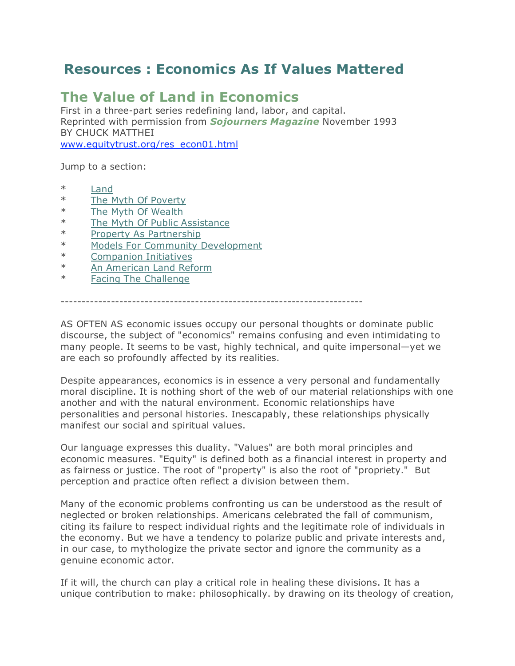# **Resources : Economics As If Values Mattered**

# **The Value of Land in Economics**

First in a three-part series redefining land, labor, and capital. Reprinted with permission from *Sojourners Magazine* November 1993 BY CHUCK MATTHEI www.equitytrust.org/res\_econ01.html

Jump to a section:

- \* Land
- \* The Myth Of Poverty
- \* The Myth Of Wealth
- \* The Myth Of Public Assistance
- \* Property As Partnership
- \* Models For Community Development
- \* Companion Initiatives
- \* An American Land Reform
- \* Facing The Challenge

------------------------------------------------------------------------

AS OFTEN AS economic issues occupy our personal thoughts or dominate public discourse, the subject of "economics" remains confusing and even intimidating to many people. It seems to be vast, highly technical, and quite impersonal—yet we are each so profoundly affected by its realities.

Despite appearances, economics is in essence a very personal and fundamentally moral discipline. It is nothing short of the web of our material relationships with one another and with the natural environment. Economic relationships have personalities and personal histories. Inescapably, these relationships physically manifest our social and spiritual values.

Our language expresses this duality. "Values" are both moral principles and economic measures. "Equity" is defined both as a financial interest in property and as fairness or justice. The root of "property" is also the root of "propriety." But perception and practice often reflect a division between them.

Many of the economic problems confronting us can be understood as the result of neglected or broken relationships. Americans celebrated the fall of communism, citing its failure to respect individual rights and the legitimate role of individuals in the economy. But we have a tendency to polarize public and private interests and, in our case, to mythologize the private sector and ignore the community as a genuine economic actor.

If it will, the church can play a critical role in healing these divisions. It has a unique contribution to make: philosophically. by drawing on its theology of creation,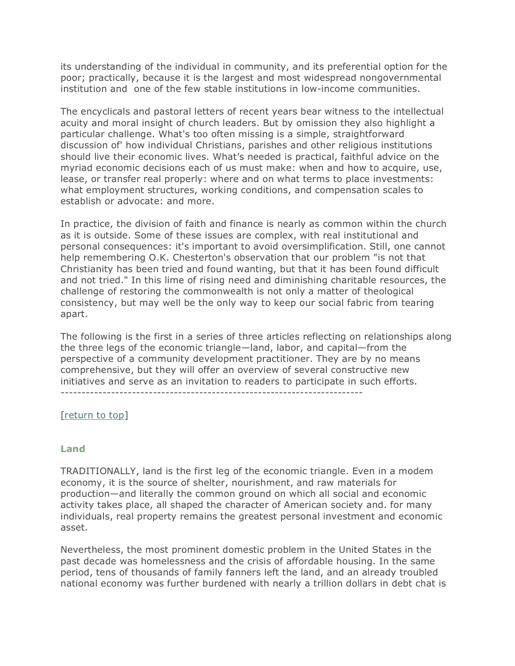its understanding of the individual in community, and its preferential option for the poor; practically, because it is the largest and most widespread nongovernmental institution and one of the few stable institutions in low-income communities.

The encyclicals and pastoral letters of recent years bear witness to the intellectual acuity and moral insight of church leaders. But by omission they also highlight a particular challenge. What's too often missing is a simple, straightforward discussion of' how individual Christians, parishes and other religious institutions should live their economic lives. What's needed is practical, faithful advice on the myriad economic decisions each of us must make: when and how to acquire, use, lease, or transfer real properly: where and on what terms to place investments: what employment structures, working conditions, and compensation scales to establish or advocate: and more.

In practice, the division of faith and finance is nearly as common within the church as it is outside. Some of these issues are complex, with real institutional and personal consequences: it's important to avoid oversimplification. Still, one cannot help remembering O.K. Chesterton's observation that our problem "is not that Christianity has been tried and found wanting, but that it has been found difficult and not tried." In this lime of rising need and diminishing charitable resources, the challenge of restoring the commonwealth is not only a matter of theological consistency, but may well be the only way to keep our social fabric from tearing apart.

The following is the first in a series of three articles reflecting on relationships along the three legs of the economic triangle—land, labor, and capital—from the perspective of a community development practitioner. They are by no means comprehensive, but they will offer an overview of several constructive new initiatives and serve as an invitation to readers to participate in such efforts. ------------------------------------------------------------------------

[return to top]

### **Land**

TRADITIONALLY, land is the first leg of the economic triangle. Even in a modem economy, it is the source of shelter, nourishment, and raw materials for production—and literally the common ground on which all social and economic activity takes place, all shaped the character of American society and. for many individuals, real property remains the greatest personal investment and economic asset.

Nevertheless, the most prominent domestic problem in the United States in the past decade was homelessness and the crisis of affordable housing. In the same period, tens of thousands of family fanners left the land, and an already troubled national economy was further burdened with nearly a trillion dollars in debt chat is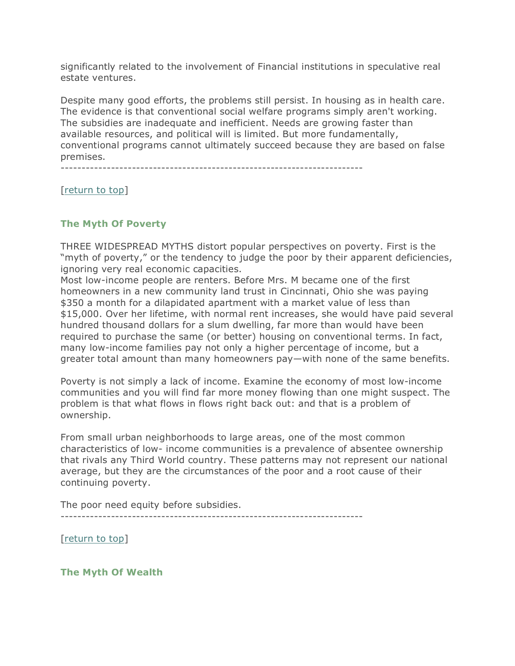significantly related to the involvement of Financial institutions in speculative real estate ventures.

Despite many good efforts, the problems still persist. In housing as in health care. The evidence is that conventional social welfare programs simply aren't working. The subsidies are inadequate and inefficient. Needs are growing faster than available resources, and political will is limited. But more fundamentally, conventional programs cannot ultimately succeed because they are based on false premises.

------------------------------------------------------------------------

[return to top]

# **The Myth Of Poverty**

THREE WIDESPREAD MYTHS distort popular perspectives on poverty. First is the "myth of poverty," or the tendency to judge the poor by their apparent deficiencies, ignoring very real economic capacities.

Most low-income people are renters. Before Mrs. M became one of the first homeowners in a new community land trust in Cincinnati, Ohio she was paying \$350 a month for a dilapidated apartment with a market value of less than \$15,000. Over her lifetime, with normal rent increases, she would have paid several hundred thousand dollars for a slum dwelling, far more than would have been required to purchase the same (or better) housing on conventional terms. In fact, many low-income families pay not only a higher percentage of income, but a greater total amount than many homeowners pay—with none of the same benefits.

Poverty is not simply a lack of income. Examine the economy of most low-income communities and you will find far more money flowing than one might suspect. The problem is that what flows in flows right back out: and that is a problem of ownership.

From small urban neighborhoods to large areas, one of the most common characteristics of low- income communities is a prevalence of absentee ownership that rivals any Third World country. These patterns may not represent our national average, but they are the circumstances of the poor and a root cause of their continuing poverty.

The poor need equity before subsidies.

------------------------------------------------------------------------

[return to top]

**The Myth Of Wealth**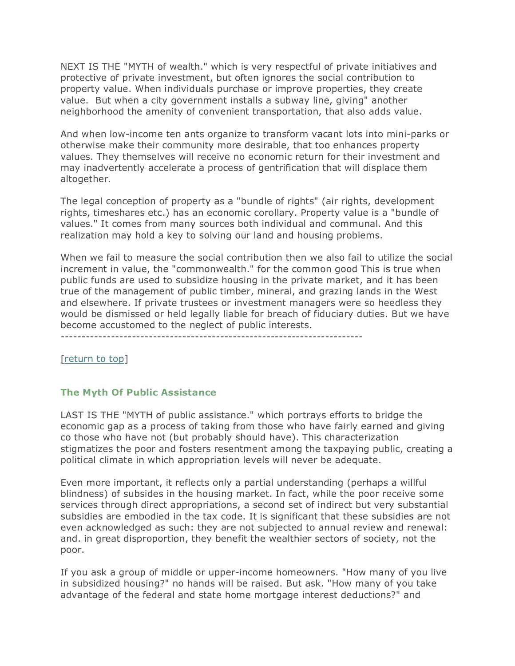NEXT IS THE "MYTH of wealth." which is very respectful of private initiatives and protective of private investment, but often ignores the social contribution to property value. When individuals purchase or improve properties, they create value. But when a city government installs a subway line, giving" another neighborhood the amenity of convenient transportation, that also adds value.

And when low-income ten ants organize to transform vacant lots into mini-parks or otherwise make their community more desirable, that too enhances property values. They themselves will receive no economic return for their investment and may inadvertently accelerate a process of gentrification that will displace them altogether.

The legal conception of property as a "bundle of rights" (air rights, development rights, timeshares etc.) has an economic corollary. Property value is a "bundle of values." It comes from many sources both individual and communal. And this realization may hold a key to solving our land and housing problems.

When we fail to measure the social contribution then we also fail to utilize the social increment in value, the "commonwealth." for the common good This is true when public funds are used to subsidize housing in the private market, and it has been true of the management of public timber, mineral, and grazing lands in the West and elsewhere. If private trustees or investment managers were so heedless they would be dismissed or held legally liable for breach of fiduciary duties. But we have become accustomed to the neglect of public interests.

------------------------------------------------------------------------

[return to top]

# **The Myth Of Public Assistance**

LAST IS THE "MYTH of public assistance." which portrays efforts to bridge the economic gap as a process of taking from those who have fairly earned and giving co those who have not (but probably should have). This characterization stigmatizes the poor and fosters resentment among the taxpaying public, creating a political climate in which appropriation levels will never be adequate.

Even more important, it reflects only a partial understanding (perhaps a willful blindness) of subsides in the housing market. In fact, while the poor receive some services through direct appropriations, a second set of indirect but very substantial subsidies are embodied in the tax code. It is significant that these subsidies are not even acknowledged as such: they are not subjected to annual review and renewal: and. in great disproportion, they benefit the wealthier sectors of society, not the poor.

If you ask a group of middle or upper-income homeowners. "How many of you live in subsidized housing?" no hands will be raised. But ask. "How many of you take advantage of the federal and state home mortgage interest deductions?" and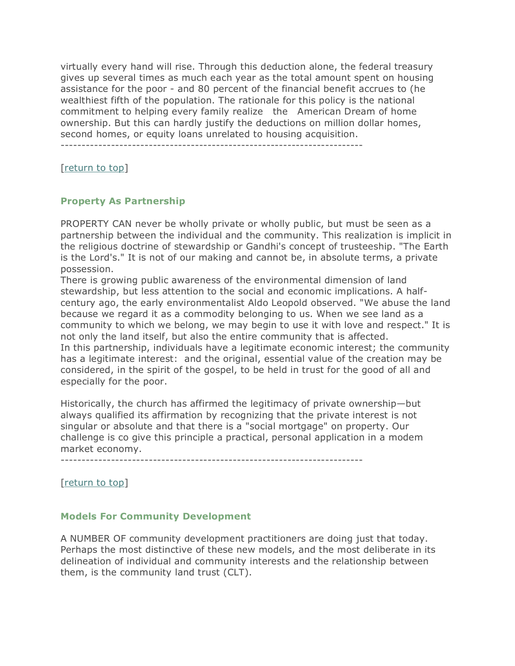virtually every hand will rise. Through this deduction alone, the federal treasury gives up several times as much each year as the total amount spent on housing assistance for the poor - and 80 percent of the financial benefit accrues to (he wealthiest fifth of the population. The rationale for this policy is the national commitment to helping every family realize the American Dream of home ownership. But this can hardly justify the deductions on million dollar homes, second homes, or equity loans unrelated to housing acquisition.

------------------------------------------------------------------------

[return to top]

### **Property As Partnership**

PROPERTY CAN never be wholly private or wholly public, but must be seen as a partnership between the individual and the community. This realization is implicit in the religious doctrine of stewardship or Gandhi's concept of trusteeship. "The Earth is the Lord's." It is not of our making and cannot be, in absolute terms, a private possession.

There is growing public awareness of the environmental dimension of land stewardship, but less attention to the social and economic implications. A halfcentury ago, the early environmentalist Aldo Leopold observed. "We abuse the land because we regard it as a commodity belonging to us. When we see land as a community to which we belong, we may begin to use it with love and respect." It is not only the land itself, but also the entire community that is affected. In this partnership, individuals have a legitimate economic interest; the community has a legitimate interest: and the original, essential value of the creation may be considered, in the spirit of the gospel, to be held in trust for the good of all and especially for the poor.

Historically, the church has affirmed the legitimacy of private ownership—but always qualified its affirmation by recognizing that the private interest is not singular or absolute and that there is a "social mortgage" on property. Our challenge is co give this principle a practical, personal application in a modem market economy.

------------------------------------------------------------------------

[return to top]

### **Models For Community Development**

A NUMBER OF community development practitioners are doing just that today. Perhaps the most distinctive of these new models, and the most deliberate in its delineation of individual and community interests and the relationship between them, is the community land trust (CLT).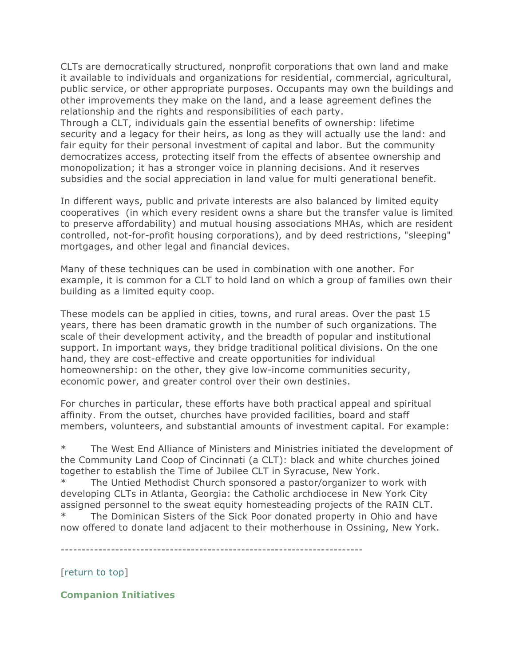CLTs are democratically structured, nonprofit corporations that own land and make it available to individuals and organizations for residential, commercial, agricultural, public service, or other appropriate purposes. Occupants may own the buildings and other improvements they make on the land, and a lease agreement defines the relationship and the rights and responsibilities of each party.

Through a CLT, individuals gain the essential benefits of ownership: lifetime security and a legacy for their heirs, as long as they will actually use the land: and fair equity for their personal investment of capital and labor. But the community democratizes access, protecting itself from the effects of absentee ownership and monopolization; it has a stronger voice in planning decisions. And it reserves subsidies and the social appreciation in land value for multi generational benefit.

In different ways, public and private interests are also balanced by limited equity cooperatives (in which every resident owns a share but the transfer value is limited to preserve affordability) and mutual housing associations MHAs, which are resident controlled, not-for-profit housing corporations), and by deed restrictions, "sleeping" mortgages, and other legal and financial devices.

Many of these techniques can be used in combination with one another. For example, it is common for a CLT to hold land on which a group of families own their building as a limited equity coop.

These models can be applied in cities, towns, and rural areas. Over the past 15 years, there has been dramatic growth in the number of such organizations. The scale of their development activity, and the breadth of popular and institutional support. In important ways, they bridge traditional political divisions. On the one hand, they are cost-effective and create opportunities for individual homeownership: on the other, they give low-income communities security, economic power, and greater control over their own destinies.

For churches in particular, these efforts have both practical appeal and spiritual affinity. From the outset, churches have provided facilities, board and staff members, volunteers, and substantial amounts of investment capital. For example:

\* The West End Alliance of Ministers and Ministries initiated the development of the Community Land Coop of Cincinnati (a CLT): black and white churches joined together to establish the Time of Jubilee CLT in Syracuse, New York.

\* The Untied Methodist Church sponsored a pastor/organizer to work with developing CLTs in Atlanta, Georgia: the Catholic archdiocese in New York City assigned personnel to the sweat equity homesteading projects of the RAIN CLT.

The Dominican Sisters of the Sick Poor donated property in Ohio and have now offered to donate land adjacent to their motherhouse in Ossining, New York.

------------------------------------------------------------------------

[return to top]

**Companion Initiatives**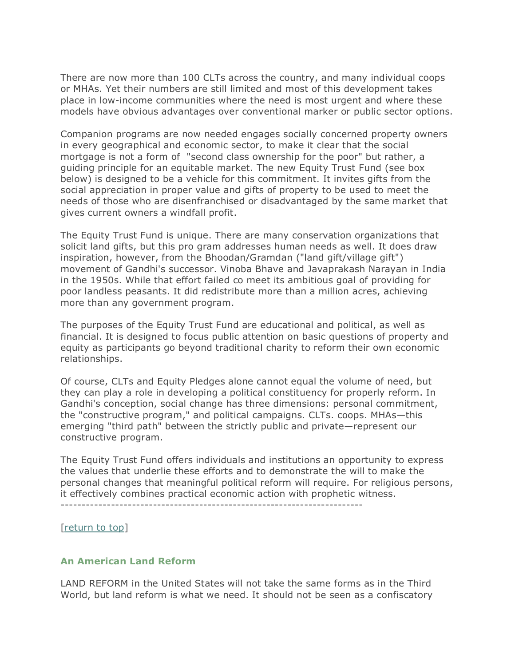There are now more than 100 CLTs across the country, and many individual coops or MHAs. Yet their numbers are still limited and most of this development takes place in low-income communities where the need is most urgent and where these models have obvious advantages over conventional marker or public sector options.

Companion programs are now needed engages socially concerned property owners in every geographical and economic sector, to make it clear that the social mortgage is not a form of "second class ownership for the poor" but rather, a guiding principle for an equitable market. The new Equity Trust Fund (see box below) is designed to be a vehicle for this commitment. It invites gifts from the social appreciation in proper value and gifts of property to be used to meet the needs of those who are disenfranchised or disadvantaged by the same market that gives current owners a windfall profit.

The Equity Trust Fund is unique. There are many conservation organizations that solicit land gifts, but this pro gram addresses human needs as well. It does draw inspiration, however, from the Bhoodan/Gramdan ("land gift/village gift") movement of Gandhi's successor. Vinoba Bhave and Javaprakash Narayan in India in the 1950s. While that effort failed co meet its ambitious goal of providing for poor landless peasants. It did redistribute more than a million acres, achieving more than any government program.

The purposes of the Equity Trust Fund are educational and political, as well as financial. It is designed to focus public attention on basic questions of property and equity as participants go beyond traditional charity to reform their own economic relationships.

Of course, CLTs and Equity Pledges alone cannot equal the volume of need, but they can play a role in developing a political constituency for properly reform. In Gandhi's conception, social change has three dimensions: personal commitment, the "constructive program," and political campaigns. CLTs. coops. MHAs—this emerging "third path" between the strictly public and private—represent our constructive program.

The Equity Trust Fund offers individuals and institutions an opportunity to express the values that underlie these efforts and to demonstrate the will to make the personal changes that meaningful political reform will require. For religious persons, it effectively combines practical economic action with prophetic witness.

[return to top]

## **An American Land Reform**

LAND REFORM in the United States will not take the same forms as in the Third World, but land reform is what we need. It should not be seen as a confiscatory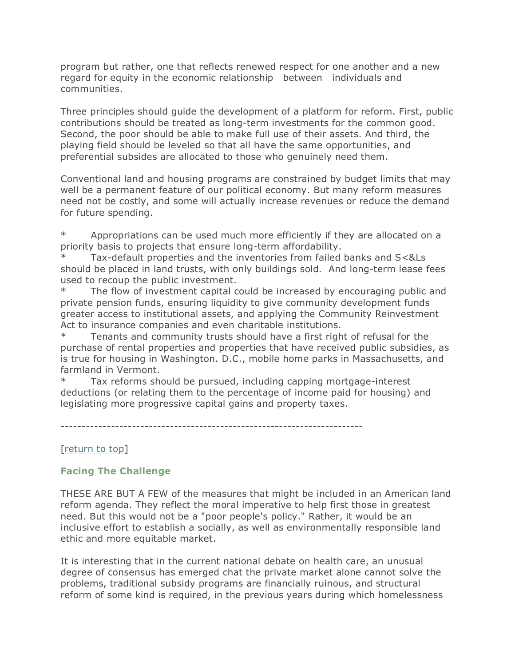program but rather, one that reflects renewed respect for one another and a new regard for equity in the economic relationship between individuals and communities.

Three principles should guide the development of a platform for reform. First, public contributions should be treated as long-term investments for the common good. Second, the poor should be able to make full use of their assets. And third, the playing field should be leveled so that all have the same opportunities, and preferential subsides are allocated to those who genuinely need them.

Conventional land and housing programs are constrained by budget limits that may well be a permanent feature of our political economy. But many reform measures need not be costly, and some will actually increase revenues or reduce the demand for future spending.

Appropriations can be used much more efficiently if they are allocated on a priority basis to projects that ensure long-term affordability.

Tax-default properties and the inventories from failed banks and S<&Ls should be placed in land trusts, with only buildings sold. And long-term lease fees used to recoup the public investment.

\* The flow of investment capital could be increased by encouraging public and private pension funds, ensuring liquidity to give community development funds greater access to institutional assets, and applying the Community Reinvestment Act to insurance companies and even charitable institutions.

Tenants and community trusts should have a first right of refusal for the purchase of rental properties and properties that have received public subsidies, as is true for housing in Washington. D.C., mobile home parks in Massachusetts, and farmland in Vermont.

Tax reforms should be pursued, including capping mortgage-interest deductions (or relating them to the percentage of income paid for housing) and legislating more progressive capital gains and property taxes.

------------------------------------------------------------------------

# [return to top]

# **Facing The Challenge**

THESE ARE BUT A FEW of the measures that might be included in an American land reform agenda. They reflect the moral imperative to help first those in greatest need. But this would not be a "poor people's policy." Rather, it would be an inclusive effort to establish a socially, as well as environmentally responsible land ethic and more equitable market.

It is interesting that in the current national debate on health care, an unusual degree of consensus has emerged chat the private market alone cannot solve the problems, traditional subsidy programs are financially ruinous, and structural reform of some kind is required, in the previous years during which homelessness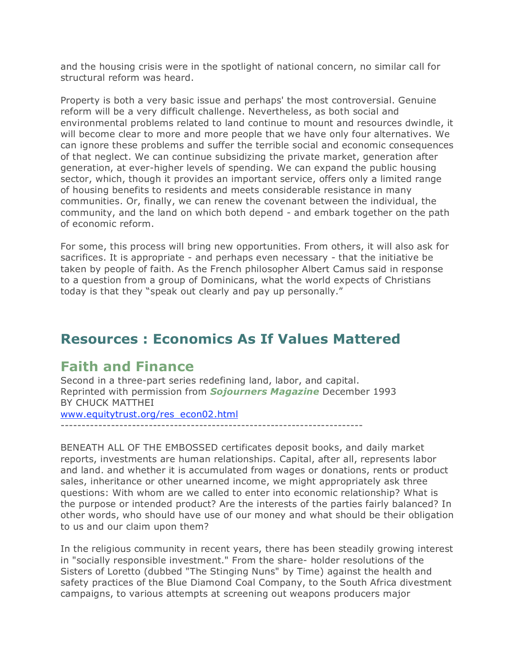and the housing crisis were in the spotlight of national concern, no similar call for structural reform was heard.

Property is both a very basic issue and perhaps' the most controversial. Genuine reform will be a very difficult challenge. Nevertheless, as both social and environmental problems related to land continue to mount and resources dwindle, it will become clear to more and more people that we have only four alternatives. We can ignore these problems and suffer the terrible social and economic consequences of that neglect. We can continue subsidizing the private market, generation after generation, at ever-higher levels of spending. We can expand the public housing sector, which, though it provides an important service, offers only a limited range of housing benefits to residents and meets considerable resistance in many communities. Or, finally, we can renew the covenant between the individual, the community, and the land on which both depend - and embark together on the path of economic reform.

For some, this process will bring new opportunities. From others, it will also ask for sacrifices. It is appropriate - and perhaps even necessary - that the initiative be taken by people of faith. As the French philosopher Albert Camus said in response to a question from a group of Dominicans, what the world expects of Christians today is that they "speak out clearly and pay up personally."

# **Resources : Economics As If Values Mattered**

# **Faith and Finance**

Second in a three-part series redefining land, labor, and capital. Reprinted with permission from *Sojourners Magazine* December 1993 BY CHUCK MATTHEI www.equitytrust.org/res\_econ02.html

------------------------------------------------------------------------

BENEATH ALL OF THE EMBOSSED certificates deposit books, and daily market reports, investments are human relationships. Capital, after all, represents labor and land. and whether it is accumulated from wages or donations, rents or product sales, inheritance or other unearned income, we might appropriately ask three questions: With whom are we called to enter into economic relationship? What is the purpose or intended product? Are the interests of the parties fairly balanced? In other words, who should have use of our money and what should be their obligation to us and our claim upon them?

In the religious community in recent years, there has been steadily growing interest in "socially responsible investment." From the share- holder resolutions of the Sisters of Loretto (dubbed "The Stinging Nuns" by Time) against the health and safety practices of the Blue Diamond Coal Company, to the South Africa divestment campaigns, to various attempts at screening out weapons producers major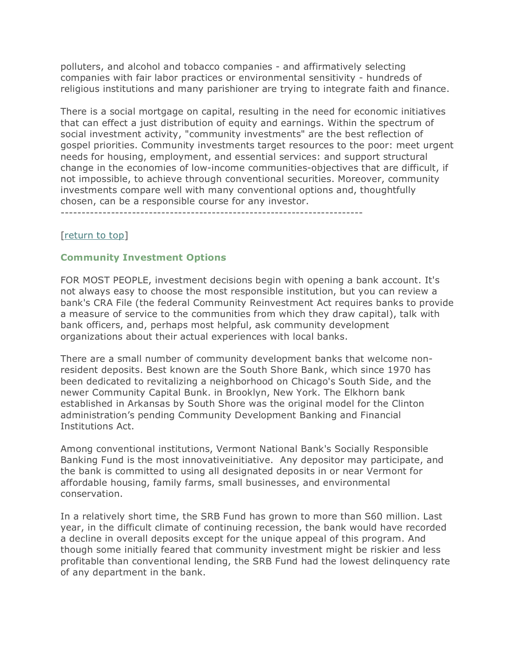polluters, and alcohol and tobacco companies - and affirmatively selecting companies with fair labor practices or environmental sensitivity - hundreds of religious institutions and many parishioner are trying to integrate faith and finance.

There is a social mortgage on capital, resulting in the need for economic initiatives that can effect a just distribution of equity and earnings. Within the spectrum of social investment activity, "community investments" are the best reflection of gospel priorities. Community investments target resources to the poor: meet urgent needs for housing, employment, and essential services: and support structural change in the economies of low-income communities-objectives that are difficult, if not impossible, to achieve through conventional securities. Moreover, community investments compare well with many conventional options and, thoughtfully chosen, can be a responsible course for any investor.

[return to top]

# **Community Investment Options**

FOR MOST PEOPLE, investment decisions begin with opening a bank account. It's not always easy to choose the most responsible institution, but you can review a bank's CRA File (the federal Community Reinvestment Act requires banks to provide a measure of service to the communities from which they draw capital), talk with bank officers, and, perhaps most helpful, ask community development organizations about their actual experiences with local banks.

There are a small number of community development banks that welcome nonresident deposits. Best known are the South Shore Bank, which since 1970 has been dedicated to revitalizing a neighborhood on Chicago's South Side, and the newer Community Capital Bunk. in Brooklyn, New York. The Elkhorn bank established in Arkansas by South Shore was the original model for the Clinton administration's pending Community Development Banking and Financial Institutions Act.

Among conventional institutions, Vermont National Bank's Socially Responsible Banking Fund is the most innovativeinitiative. Any depositor may participate, and the bank is committed to using all designated deposits in or near Vermont for affordable housing, family farms, small businesses, and environmental conservation.

In a relatively short time, the SRB Fund has grown to more than S60 million. Last year, in the difficult climate of continuing recession, the bank would have recorded a decline in overall deposits except for the unique appeal of this program. And though some initially feared that community investment might be riskier and less profitable than conventional lending, the SRB Fund had the lowest delinquency rate of any department in the bank.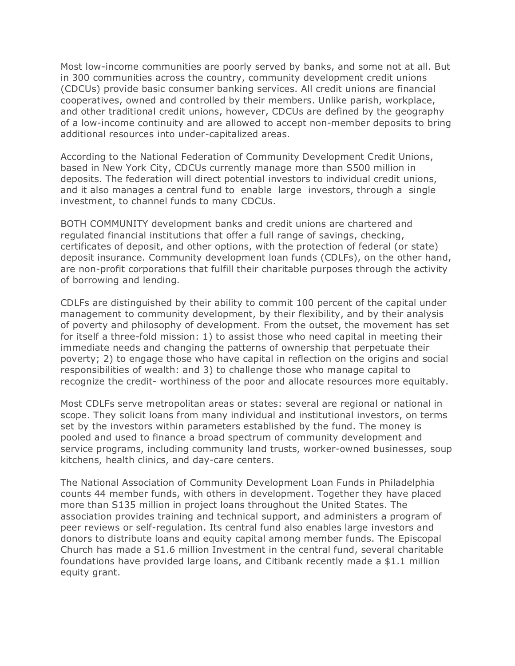Most low-income communities are poorly served by banks, and some not at all. But in 300 communities across the country, community development credit unions (CDCUs) provide basic consumer banking services. All credit unions are financial cooperatives, owned and controlled by their members. Unlike parish, workplace, and other traditional credit unions, however, CDCUs are defined by the geography of a low-income continuity and are allowed to accept non-member deposits to bring additional resources into under-capitalized areas.

According to the National Federation of Community Development Credit Unions, based in New York City, CDCUs currently manage more than S500 million in deposits. The federation will direct potential investors to individual credit unions, and it also manages a central fund to enable large investors, through a single investment, to channel funds to many CDCUs.

BOTH COMMUNITY development banks and credit unions are chartered and regulated financial institutions that offer a full range of savings, checking, certificates of deposit, and other options, with the protection of federal (or state) deposit insurance. Community development loan funds (CDLFs), on the other hand, are non-profit corporations that fulfill their charitable purposes through the activity of borrowing and lending.

CDLFs are distinguished by their ability to commit 100 percent of the capital under management to community development, by their flexibility, and by their analysis of poverty and philosophy of development. From the outset, the movement has set for itself a three-fold mission: 1) to assist those who need capital in meeting their immediate needs and changing the patterns of ownership that perpetuate their poverty; 2) to engage those who have capital in reflection on the origins and social responsibilities of wealth: and 3) to challenge those who manage capital to recognize the credit- worthiness of the poor and allocate resources more equitably.

Most CDLFs serve metropolitan areas or states: several are regional or national in scope. They solicit loans from many individual and institutional investors, on terms set by the investors within parameters established by the fund. The money is pooled and used to finance a broad spectrum of community development and service programs, including community land trusts, worker-owned businesses, soup kitchens, health clinics, and day-care centers.

The National Association of Community Development Loan Funds in Philadelphia counts 44 member funds, with others in development. Together they have placed more than S135 million in project loans throughout the United States. The association provides training and technical support, and administers a program of peer reviews or self-regulation. Its central fund also enables large investors and donors to distribute loans and equity capital among member funds. The Episcopal Church has made a S1.6 million Investment in the central fund, several charitable foundations have provided large loans, and Citibank recently made a \$1.1 million equity grant.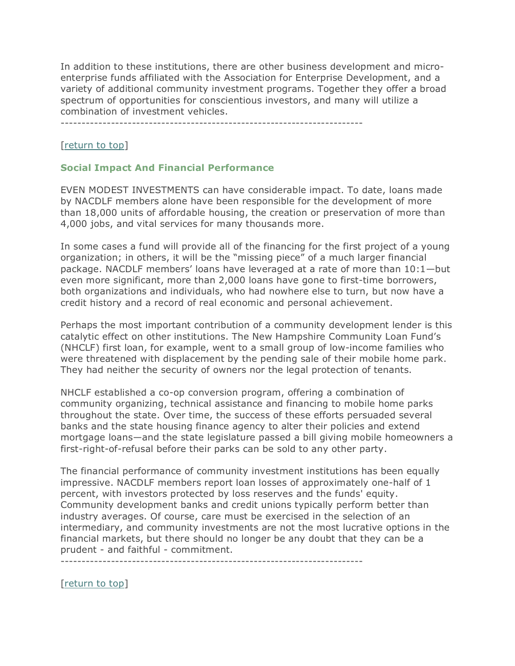In addition to these institutions, there are other business development and microenterprise funds affiliated with the Association for Enterprise Development, and a variety of additional community investment programs. Together they offer a broad spectrum of opportunities for conscientious investors, and many will utilize a combination of investment vehicles.

# [return to top]

# **Social Impact And Financial Performance**

EVEN MODEST INVESTMENTS can have considerable impact. To date, loans made by NACDLF members alone have been responsible for the development of more than 18,000 units of affordable housing, the creation or preservation of more than 4,000 jobs, and vital services for many thousands more.

In some cases a fund will provide all of the financing for the first project of a young organization; in others, it will be the "missing piece" of a much larger financial package. NACDLF members' loans have leveraged at a rate of more than 10:1—but even more significant, more than 2,000 loans have gone to first-time borrowers, both organizations and individuals, who had nowhere else to turn, but now have a credit history and a record of real economic and personal achievement.

Perhaps the most important contribution of a community development lender is this catalytic effect on other institutions. The New Hampshire Community Loan Fund's (NHCLF) first loan, for example, went to a small group of low-income families who were threatened with displacement by the pending sale of their mobile home park. They had neither the security of owners nor the legal protection of tenants.

NHCLF established a co-op conversion program, offering a combination of community organizing, technical assistance and financing to mobile home parks throughout the state. Over time, the success of these efforts persuaded several banks and the state housing finance agency to alter their policies and extend mortgage loans—and the state legislature passed a bill giving mobile homeowners a first-right-of-refusal before their parks can be sold to any other party.

The financial performance of community investment institutions has been equally impressive. NACDLF members report loan losses of approximately one-half of 1 percent, with investors protected by loss reserves and the funds' equity. Community development banks and credit unions typically perform better than industry averages. Of course, care must be exercised in the selection of an intermediary, and community investments are not the most lucrative options in the financial markets, but there should no longer be any doubt that they can be a prudent - and faithful - commitment.

------------------------------------------------------------------------

[return to top]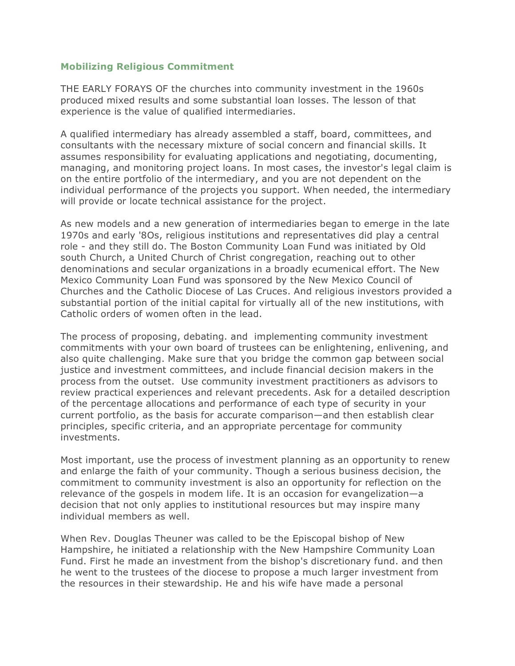## **Mobilizing Religious Commitment**

THE EARLY FORAYS OF the churches into community investment in the 1960s produced mixed results and some substantial loan losses. The lesson of that experience is the value of qualified intermediaries.

A qualified intermediary has already assembled a staff, board, committees, and consultants with the necessary mixture of social concern and financial skills. It assumes responsibility for evaluating applications and negotiating, documenting, managing, and monitoring project loans. In most cases, the investor's legal claim is on the entire portfolio of the intermediary, and you are not dependent on the individual performance of the projects you support. When needed, the intermediary will provide or locate technical assistance for the project.

As new models and a new generation of intermediaries began to emerge in the late 1970s and early '8Os, religious institutions and representatives did play a central role - and they still do. The Boston Community Loan Fund was initiated by Old south Church, a United Church of Christ congregation, reaching out to other denominations and secular organizations in a broadly ecumenical effort. The New Mexico Community Loan Fund was sponsored by the New Mexico Council of Churches and the Catholic Diocese of Las Cruces. And religious investors provided a substantial portion of the initial capital for virtually all of the new institutions, with Catholic orders of women often in the lead.

The process of proposing, debating. and implementing community investment commitments with your own board of trustees can be enlightening, enlivening, and also quite challenging. Make sure that you bridge the common gap between social justice and investment committees, and include financial decision makers in the process from the outset. Use community investment practitioners as advisors to review practical experiences and relevant precedents. Ask for a detailed description of the percentage allocations and performance of each type of security in your current portfolio, as the basis for accurate comparison—and then establish clear principles, specific criteria, and an appropriate percentage for community investments.

Most important, use the process of investment planning as an opportunity to renew and enlarge the faith of your community. Though a serious business decision, the commitment to community investment is also an opportunity for reflection on the relevance of the gospels in modem life. It is an occasion for evangelization—a decision that not only applies to institutional resources but may inspire many individual members as well.

When Rev. Douglas Theuner was called to be the Episcopal bishop of New Hampshire, he initiated a relationship with the New Hampshire Community Loan Fund. First he made an investment from the bishop's discretionary fund. and then he went to the trustees of the diocese to propose a much larger investment from the resources in their stewardship. He and his wife have made a personal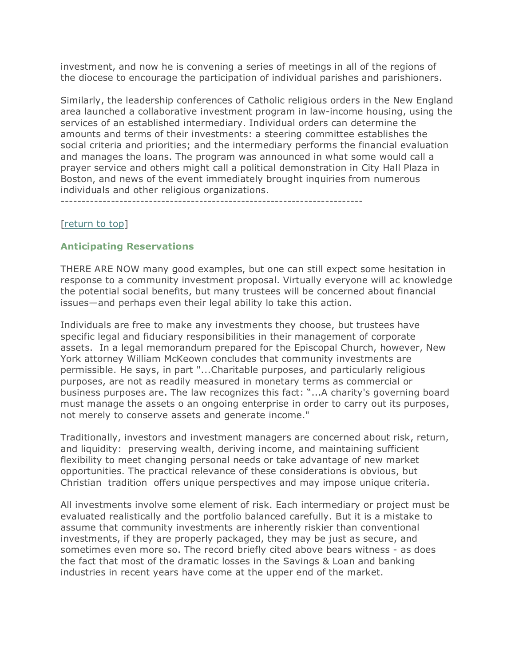investment, and now he is convening a series of meetings in all of the regions of the diocese to encourage the participation of individual parishes and parishioners.

Similarly, the leadership conferences of Catholic religious orders in the New England area launched a collaborative investment program in law-income housing, using the services of an established intermediary. Individual orders can determine the amounts and terms of their investments: a steering committee establishes the social criteria and priorities; and the intermediary performs the financial evaluation and manages the loans. The program was announced in what some would call a prayer service and others might call a political demonstration in City Hall Plaza in Boston, and news of the event immediately brought inquiries from numerous individuals and other religious organizations.

------------------------------------------------------------------------

#### [return to top]

### **Anticipating Reservations**

THERE ARE NOW many good examples, but one can still expect some hesitation in response to a community investment proposal. Virtually everyone will ac knowledge the potential social benefits, but many trustees will be concerned about financial issues—and perhaps even their legal ability lo take this action.

Individuals are free to make any investments they choose, but trustees have specific legal and fiduciary responsibilities in their management of corporate assets. In a legal memorandum prepared for the Episcopal Church, however, New York attorney William McKeown concludes that community investments are permissible. He says, in part "...Charitable purposes, and particularly religious purposes, are not as readily measured in monetary terms as commercial or business purposes are. The law recognizes this fact: "...A charity's governing board must manage the assets o an ongoing enterprise in order to carry out its purposes, not merely to conserve assets and generate income."

Traditionally, investors and investment managers are concerned about risk, return, and liquidity: preserving wealth, deriving income, and maintaining sufficient flexibility to meet changing personal needs or take advantage of new market opportunities. The practical relevance of these considerations is obvious, but Christian tradition offers unique perspectives and may impose unique criteria.

All investments involve some element of risk. Each intermediary or project must be evaluated realistically and the portfolio balanced carefully. But it is a mistake to assume that community investments are inherently riskier than conventional investments, if they are properly packaged, they may be just as secure, and sometimes even more so. The record briefly cited above bears witness - as does the fact that most of the dramatic losses in the Savings & Loan and banking industries in recent years have come at the upper end of the market.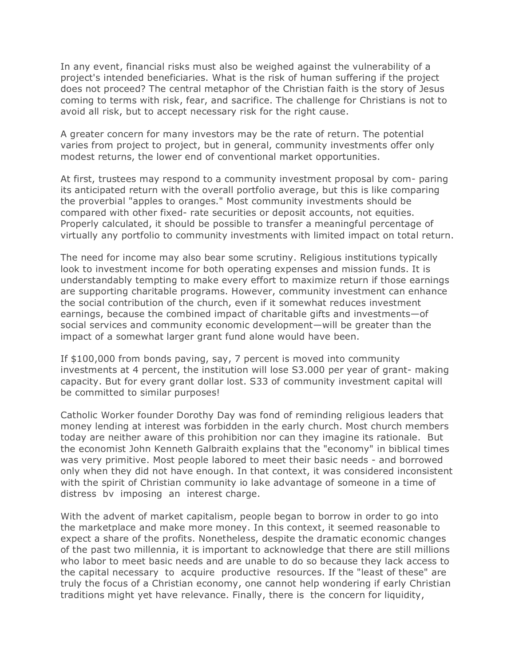In any event, financial risks must also be weighed against the vulnerability of a project's intended beneficiaries. What is the risk of human suffering if the project does not proceed? The central metaphor of the Christian faith is the story of Jesus coming to terms with risk, fear, and sacrifice. The challenge for Christians is not to avoid all risk, but to accept necessary risk for the right cause.

A greater concern for many investors may be the rate of return. The potential varies from project to project, but in general, community investments offer only modest returns, the lower end of conventional market opportunities.

At first, trustees may respond to a community investment proposal by com- paring its anticipated return with the overall portfolio average, but this is like comparing the proverbial "apples to oranges." Most community investments should be compared with other fixed- rate securities or deposit accounts, not equities. Properly calculated, it should be possible to transfer a meaningful percentage of virtually any portfolio to community investments with limited impact on total return.

The need for income may also bear some scrutiny. Religious institutions typically look to investment income for both operating expenses and mission funds. It is understandably tempting to make every effort to maximize return if those earnings are supporting charitable programs. However, community investment can enhance the social contribution of the church, even if it somewhat reduces investment earnings, because the combined impact of charitable gifts and investments—of social services and community economic development—will be greater than the impact of a somewhat larger grant fund alone would have been.

If \$100,000 from bonds paving, say, 7 percent is moved into community investments at 4 percent, the institution will lose S3.000 per year of grant- making capacity. But for every grant dollar lost. S33 of community investment capital will be committed to similar purposes!

Catholic Worker founder Dorothy Day was fond of reminding religious leaders that money lending at interest was forbidden in the early church. Most church members today are neither aware of this prohibition nor can they imagine its rationale. But the economist John Kenneth Galbraith explains that the "economy" in biblical times was very primitive. Most people labored to meet their basic needs - and borrowed only when they did not have enough. In that context, it was considered inconsistent with the spirit of Christian community io lake advantage of someone in a time of distress bv imposing an interest charge.

With the advent of market capitalism, people began to borrow in order to go into the marketplace and make more money. In this context, it seemed reasonable to expect a share of the profits. Nonetheless, despite the dramatic economic changes of the past two millennia, it is important to acknowledge that there are still millions who labor to meet basic needs and are unable to do so because they lack access to the capital necessary to acquire productive resources. If the "least of these" are truly the focus of a Christian economy, one cannot help wondering if early Christian traditions might yet have relevance. Finally, there is the concern for liquidity,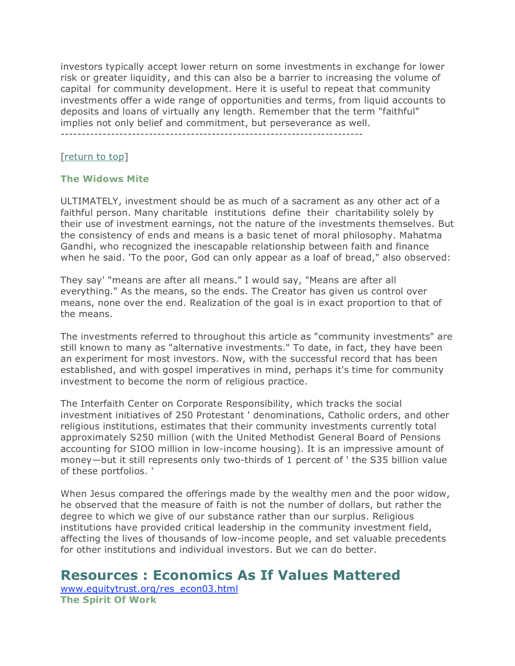investors typically accept lower return on some investments in exchange for lower risk or greater liquidity, and this can also be a barrier to increasing the volume of capital for community development. Here it is useful to repeat that community investments offer a wide range of opportunities and terms, from liquid accounts to deposits and loans of virtually any length. Remember that the term "faithful" implies not only belief and commitment, but perseverance as well.

------------------------------------------------------------------------

### [return to top]

### **The Widows Mite**

ULTIMATELY, investment should be as much of a sacrament as any other act of a faithful person. Many charitable institutions define their charitability solely by their use of investment earnings, not the nature of the investments themselves. But the consistency of ends and means is a basic tenet of moral philosophy. Mahatma Gandhi, who recognized the inescapable relationship between faith and finance when he said. 'To the poor, God can only appear as a loaf of bread," also observed:

They say' "means are after all means." I would say, "Means are after all everything." As the means, so the ends. The Creator has given us control over means, none over the end. Realization of the goal is in exact proportion to that of the means.

The investments referred to throughout this article as "community investments" are still known to many as "alternative investments." To date, in fact, they have been an experiment for most investors. Now, with the successful record that has been established, and with gospel imperatives in mind, perhaps it's time for community investment to become the norm of religious practice.

The Interfaith Center on Corporate Responsibility, which tracks the social investment initiatives of 250 Protestant ' denominations, Catholic orders, and other religious institutions, estimates that their community investments currently total approximately S250 million (with the United Methodist General Board of Pensions accounting for SIOO million in low-income housing). It is an impressive amount of money—but it still represents only two-thirds of 1 percent of ' the S35 billion value of these portfolios. '

When Jesus compared the offerings made by the wealthy men and the poor widow, he observed that the measure of faith is not the number of dollars, but rather the degree to which we give of our substance rather than our surplus. Religious institutions have provided critical leadership in the community investment field, affecting the lives of thousands of low-income people, and set valuable precedents for other institutions and individual investors. But we can do better.

# **Resources : Economics As If Values Mattered**

www.equitytrust.org/res\_econ03.html **The Spirit Of Work**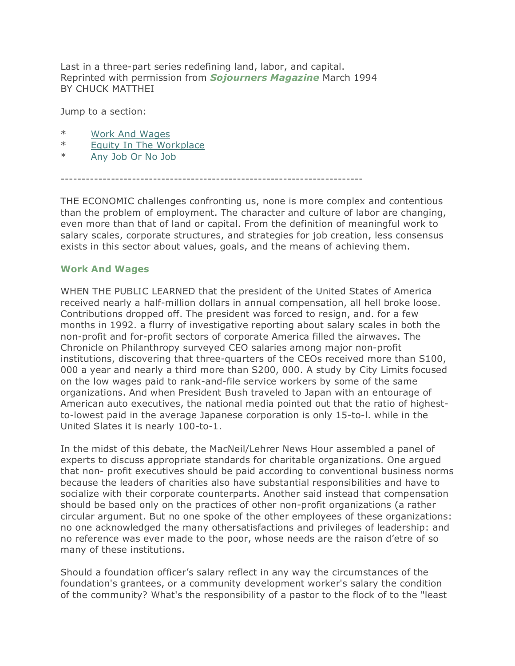Last in a three-part series redefining land, labor, and capital. Reprinted with permission from *Sojourners Magazine* March 1994 BY CHUCK MATTHEI

Jump to a section:

- \* Work And Wages
- \* Equity In The Workplace
- \* Any Job Or No Job

------------------------------------------------------------------------

THE ECONOMIC challenges confronting us, none is more complex and contentious than the problem of employment. The character and culture of labor are changing, even more than that of land or capital. From the definition of meaningful work to salary scales, corporate structures, and strategies for job creation, less consensus exists in this sector about values, goals, and the means of achieving them.

#### **Work And Wages**

WHEN THE PUBLIC LEARNED that the president of the United States of America received nearly a half-million dollars in annual compensation, all hell broke loose. Contributions dropped off. The president was forced to resign, and. for a few months in 1992. a flurry of investigative reporting about salary scales in both the non-profit and for-profit sectors of corporate America filled the airwaves. The Chronicle on Philanthropy surveyed CEO salaries among major non-profit institutions, discovering that three-quarters of the CEOs received more than S100, 000 a year and nearly a third more than S200, 000. A study by City Limits focused on the low wages paid to rank-and-file service workers by some of the same organizations. And when President Bush traveled to Japan with an entourage of American auto executives, the national media pointed out that the ratio of highestto-lowest paid in the average Japanese corporation is only 15-to-l. while in the United Slates it is nearly 100-to-1.

In the midst of this debate, the MacNeil/Lehrer News Hour assembled a panel of experts to discuss appropriate standards for charitable organizations. One argued that non- profit executives should be paid according to conventional business norms because the leaders of charities also have substantial responsibilities and have to socialize with their corporate counterparts. Another said instead that compensation should be based only on the practices of other non-profit organizations (a rather circular argument. But no one spoke of the other employees of these organizations: no one acknowledged the many othersatisfactions and privileges of leadership: and no reference was ever made to the poor, whose needs are the raison d'etre of so many of these institutions.

Should a foundation officer's salary reflect in any way the circumstances of the foundation's grantees, or a community development worker's salary the condition of the community? What's the responsibility of a pastor to the flock of to the "least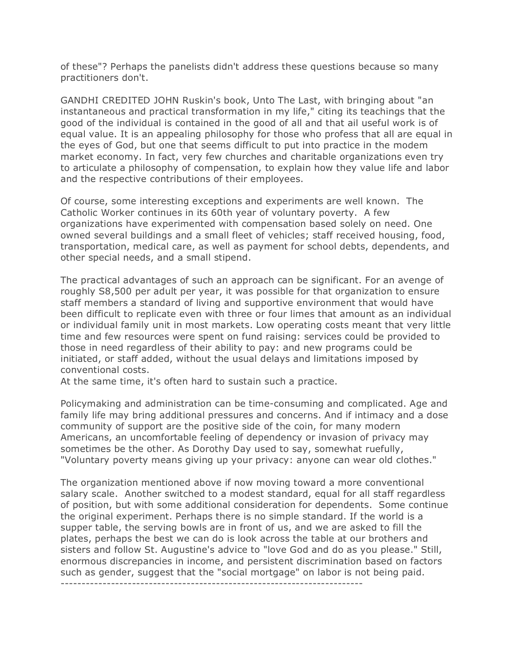of these"? Perhaps the panelists didn't address these questions because so many practitioners don't.

GANDHI CREDITED JOHN Ruskin's book, Unto The Last, with bringing about "an instantaneous and practical transformation in my life," citing its teachings that the good of the individual is contained in the good of all and that ail useful work is of equal value. It is an appealing philosophy for those who profess that all are equal in the eyes of God, but one that seems difficult to put into practice in the modem market economy. In fact, very few churches and charitable organizations even try to articulate a philosophy of compensation, to explain how they value life and labor and the respective contributions of their employees.

Of course, some interesting exceptions and experiments are well known. The Catholic Worker continues in its 60th year of voluntary poverty. A few organizations have experimented with compensation based solely on need. One owned several buildings and a small fleet of vehicles; staff received housing, food, transportation, medical care, as well as payment for school debts, dependents, and other special needs, and a small stipend.

The practical advantages of such an approach can be significant. For an avenge of roughly S8,500 per adult per year, it was possible for that organization to ensure staff members a standard of living and supportive environment that would have been difficult to replicate even with three or four limes that amount as an individual or individual family unit in most markets. Low operating costs meant that very little time and few resources were spent on fund raising: services could be provided to those in need regardless of their ability to pay: and new programs could be initiated, or staff added, without the usual delays and limitations imposed by conventional costs.

At the same time, it's often hard to sustain such a practice.

Policymaking and administration can be time-consuming and complicated. Age and family life may bring additional pressures and concerns. And if intimacy and a dose community of support are the positive side of the coin, for many modern Americans, an uncomfortable feeling of dependency or invasion of privacy may sometimes be the other. As Dorothy Day used to say, somewhat ruefully, "Voluntary poverty means giving up your privacy: anyone can wear old clothes."

The organization mentioned above if now moving toward a more conventional salary scale. Another switched to a modest standard, equal for all staff regardless of position, but with some additional consideration for dependents. Some continue the original experiment. Perhaps there is no simple standard. If the world is a supper table, the serving bowls are in front of us, and we are asked to fill the plates, perhaps the best we can do is look across the table at our brothers and sisters and follow St. Augustine's advice to "love God and do as you please." Still, enormous discrepancies in income, and persistent discrimination based on factors such as gender, suggest that the "social mortgage" on labor is not being paid. ------------------------------------------------------------------------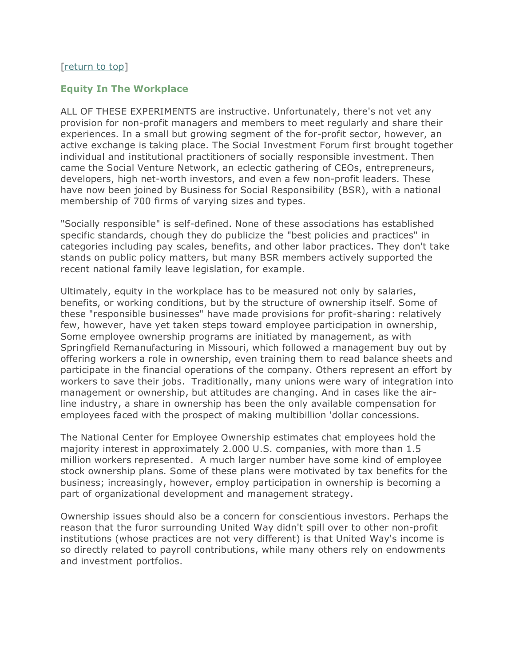## [return to top]

#### **Equity In The Workplace**

ALL OF THESE EXPERIMENTS are instructive. Unfortunately, there's not vet any provision for non-profit managers and members to meet regularly and share their experiences. In a small but growing segment of the for-profit sector, however, an active exchange is taking place. The Social Investment Forum first brought together individual and institutional practitioners of socially responsible investment. Then came the Social Venture Network, an eclectic gathering of CEOs, entrepreneurs, developers, high net-worth investors, and even a few non-profit leaders. These have now been joined by Business for Social Responsibility (BSR), with a national membership of 700 firms of varying sizes and types.

"Socially responsible" is self-defined. None of these associations has established specific standards, chough they do publicize the "best policies and practices" in categories including pay scales, benefits, and other labor practices. They don't take stands on public policy matters, but many BSR members actively supported the recent national family leave legislation, for example.

Ultimately, equity in the workplace has to be measured not only by salaries, benefits, or working conditions, but by the structure of ownership itself. Some of these "responsible businesses" have made provisions for profit-sharing: relatively few, however, have yet taken steps toward employee participation in ownership, Some employee ownership programs are initiated by management, as with Springfield Remanufacturing in Missouri, which followed a management buy out by offering workers a role in ownership, even training them to read balance sheets and participate in the financial operations of the company. Others represent an effort by workers to save their jobs. Traditionally, many unions were wary of integration into management or ownership, but attitudes are changing. And in cases like the airline industry, a share in ownership has been the only available compensation for employees faced with the prospect of making multibillion 'dollar concessions.

The National Center for Employee Ownership estimates chat employees hold the majority interest in approximately 2.000 U.S. companies, with more than 1.5 million workers represented. A much larger number have some kind of employee stock ownership plans. Some of these plans were motivated by tax benefits for the business; increasingly, however, employ participation in ownership is becoming a part of organizational development and management strategy.

Ownership issues should also be a concern for conscientious investors. Perhaps the reason that the furor surrounding United Way didn't spill over to other non-profit institutions (whose practices are not very different) is that United Way's income is so directly related to payroll contributions, while many others rely on endowments and investment portfolios.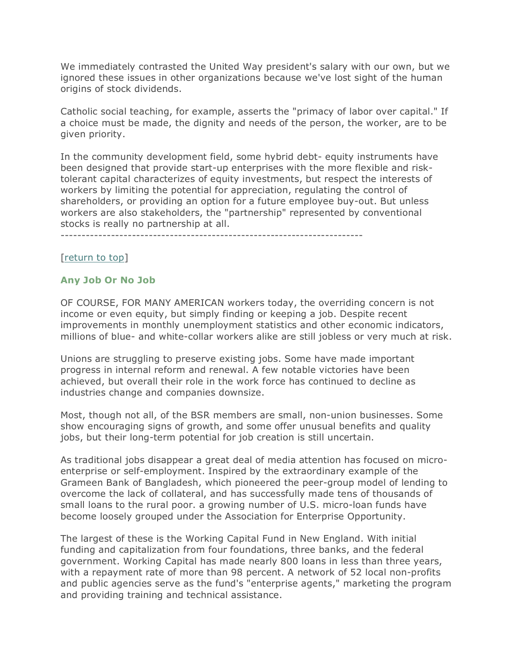We immediately contrasted the United Way president's salary with our own, but we ignored these issues in other organizations because we've lost sight of the human origins of stock dividends.

Catholic social teaching, for example, asserts the "primacy of labor over capital." If a choice must be made, the dignity and needs of the person, the worker, are to be given priority.

In the community development field, some hybrid debt- equity instruments have been designed that provide start-up enterprises with the more flexible and risktolerant capital characterizes of equity investments, but respect the interests of workers by limiting the potential for appreciation, regulating the control of shareholders, or providing an option for a future employee buy-out. But unless workers are also stakeholders, the "partnership" represented by conventional stocks is really no partnership at all.

------------------------------------------------------------------------

# [return to top]

# **Any Job Or No Job**

OF COURSE, FOR MANY AMERICAN workers today, the overriding concern is not income or even equity, but simply finding or keeping a job. Despite recent improvements in monthly unemployment statistics and other economic indicators, millions of blue- and white-collar workers alike are still jobless or very much at risk.

Unions are struggling to preserve existing jobs. Some have made important progress in internal reform and renewal. A few notable victories have been achieved, but overall their role in the work force has continued to decline as industries change and companies downsize.

Most, though not all, of the BSR members are small, non-union businesses. Some show encouraging signs of growth, and some offer unusual benefits and quality jobs, but their long-term potential for job creation is still uncertain.

As traditional jobs disappear a great deal of media attention has focused on microenterprise or self-employment. Inspired by the extraordinary example of the Grameen Bank of Bangladesh, which pioneered the peer-group model of lending to overcome the lack of collateral, and has successfully made tens of thousands of small loans to the rural poor. a growing number of U.S. micro-loan funds have become loosely grouped under the Association for Enterprise Opportunity.

The largest of these is the Working Capital Fund in New England. With initial funding and capitalization from four foundations, three banks, and the federal government. Working Capital has made nearly 800 loans in less than three years, with a repayment rate of more than 98 percent. A network of 52 local non-profits and public agencies serve as the fund's "enterprise agents," marketing the program and providing training and technical assistance.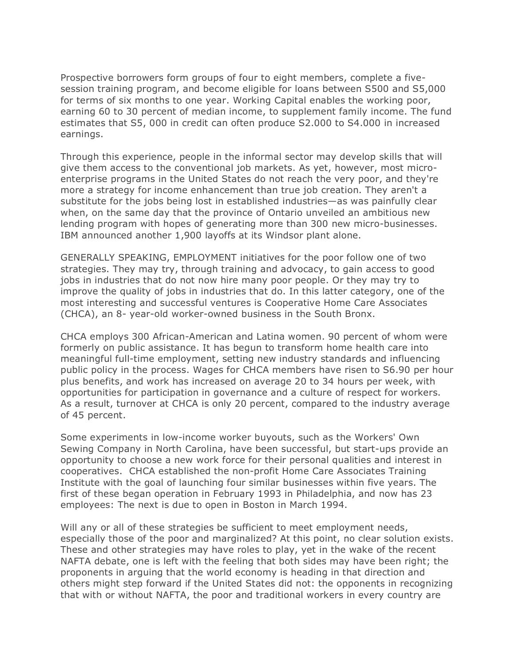Prospective borrowers form groups of four to eight members, complete a fivesession training program, and become eligible for loans between S500 and S5,000 for terms of six months to one year. Working Capital enables the working poor, earning 60 to 30 percent of median income, to supplement family income. The fund estimates that S5, 000 in credit can often produce S2.000 to S4.000 in increased earnings.

Through this experience, people in the informal sector may develop skills that will give them access to the conventional job markets. As yet, however, most microenterprise programs in the United States do not reach the very poor, and they're more a strategy for income enhancement than true job creation. They aren't a substitute for the jobs being lost in established industries—as was painfully clear when, on the same day that the province of Ontario unveiled an ambitious new lending program with hopes of generating more than 300 new micro-businesses. IBM announced another 1,900 layoffs at its Windsor plant alone.

GENERALLY SPEAKING, EMPLOYMENT initiatives for the poor follow one of two strategies. They may try, through training and advocacy, to gain access to good jobs in industries that do not now hire many poor people. Or they may try to improve the quality of jobs in industries that do. In this latter category, one of the most interesting and successful ventures is Cooperative Home Care Associates (CHCA), an 8- year-old worker-owned business in the South Bronx.

CHCA employs 300 African-American and Latina women. 90 percent of whom were formerly on public assistance. It has begun to transform home health care into meaningful full-time employment, setting new industry standards and influencing public policy in the process. Wages for CHCA members have risen to S6.90 per hour plus benefits, and work has increased on average 20 to 34 hours per week, with opportunities for participation in governance and a culture of respect for workers. As a result, turnover at CHCA is only 20 percent, compared to the industry average of 45 percent.

Some experiments in low-income worker buyouts, such as the Workers' Own Sewing Company in North Carolina, have been successful, but start-ups provide an opportunity to choose a new work force for their personal qualities and interest in cooperatives. CHCA established the non-profit Home Care Associates Training Institute with the goal of launching four similar businesses within five years. The first of these began operation in February 1993 in Philadelphia, and now has 23 employees: The next is due to open in Boston in March 1994.

Will any or all of these strategies be sufficient to meet employment needs, especially those of the poor and marginalized? At this point, no clear solution exists. These and other strategies may have roles to play, yet in the wake of the recent NAFTA debate, one is left with the feeling that both sides may have been right; the proponents in arguing that the world economy is heading in that direction and others might step forward if the United States did not: the opponents in recognizing that with or without NAFTA, the poor and traditional workers in every country are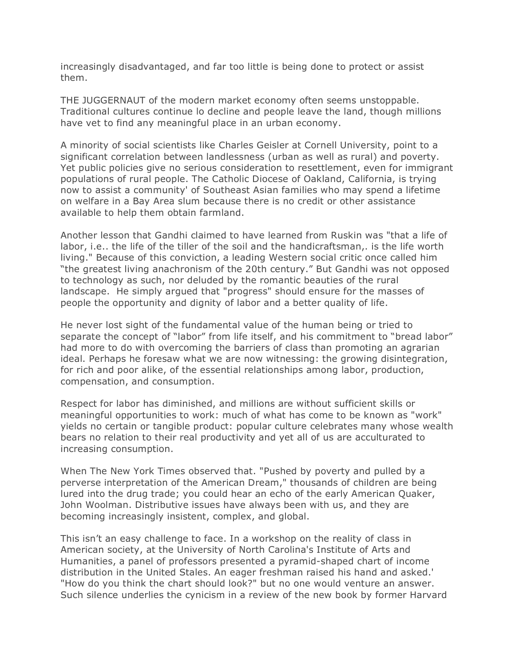increasingly disadvantaged, and far too little is being done to protect or assist them.

THE JUGGERNAUT of the modern market economy often seems unstoppable. Traditional cultures continue lo decline and people leave the land, though millions have vet to find any meaningful place in an urban economy.

A minority of social scientists like Charles Geisler at Cornell University, point to a significant correlation between landlessness (urban as well as rural) and poverty. Yet public policies give no serious consideration to resettlement, even for immigrant populations of rural people. The Catholic Diocese of Oakland, California, is trying now to assist a community' of Southeast Asian families who may spend a lifetime on welfare in a Bay Area slum because there is no credit or other assistance available to help them obtain farmland.

Another lesson that Gandhi claimed to have learned from Ruskin was "that a life of labor, i.e.. the life of the tiller of the soil and the handicraftsman,. is the life worth living." Because of this conviction, a leading Western social critic once called him "the greatest living anachronism of the 20th century." But Gandhi was not opposed to technology as such, nor deluded by the romantic beauties of the rural landscape. He simply argued that "progress" should ensure for the masses of people the opportunity and dignity of labor and a better quality of life.

He never lost sight of the fundamental value of the human being or tried to separate the concept of "labor" from life itself, and his commitment to "bread labor" had more to do with overcoming the barriers of class than promoting an agrarian ideal. Perhaps he foresaw what we are now witnessing: the growing disintegration, for rich and poor alike, of the essential relationships among labor, production, compensation, and consumption.

Respect for labor has diminished, and millions are without sufficient skills or meaningful opportunities to work: much of what has come to be known as "work" yields no certain or tangible product: popular culture celebrates many whose wealth bears no relation to their real productivity and yet all of us are acculturated to increasing consumption.

When The New York Times observed that. "Pushed by poverty and pulled by a perverse interpretation of the American Dream," thousands of children are being lured into the drug trade; you could hear an echo of the early American Quaker, John Woolman. Distributive issues have always been with us, and they are becoming increasingly insistent, complex, and global.

This isn't an easy challenge to face. In a workshop on the reality of class in American society, at the University of North Carolina's Institute of Arts and Humanities, a panel of professors presented a pyramid-shaped chart of income distribution in the United Stales. An eager freshman raised his hand and asked.' "How do you think the chart should look?" but no one would venture an answer. Such silence underlies the cynicism in a review of the new book by former Harvard